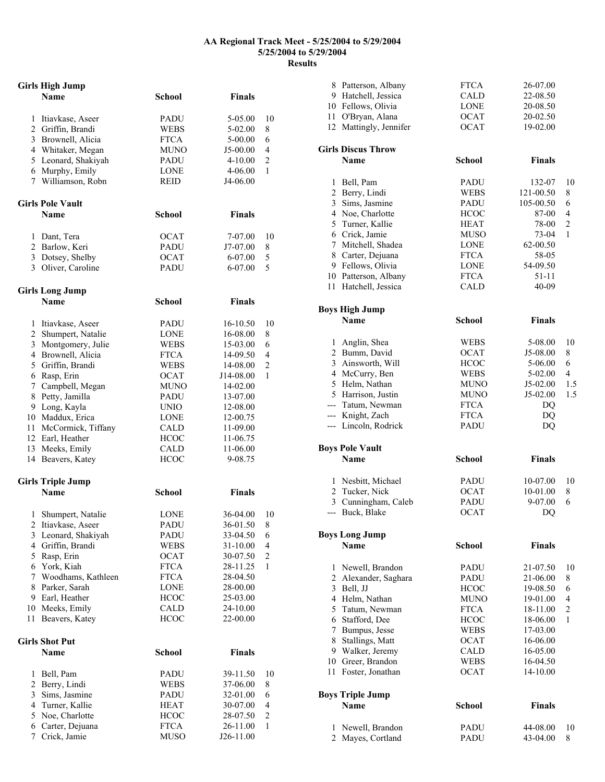## **AA Regional Track Meet - 5/25/2004 to 5/29/2004 5/25/2004 to 5/29/2004 Results**

|                | <b>Girls High Jump</b>   |               |               |                |
|----------------|--------------------------|---------------|---------------|----------------|
|                | <b>Name</b>              | <b>School</b> | <b>Finals</b> |                |
|                | 1 Itiavkase, Aseer       | PADU          | 5-05.00       | 10             |
|                | 2 Griffin, Brandi        | WEBS          | 5-02.00       | 8              |
|                | 3 Brownell, Alicia       | <b>FTCA</b>   | 5-00.00       | 6              |
|                | 4 Whitaker, Megan        | <b>MUNO</b>   | J5-00.00      | 4              |
|                | 5 Leonard, Shakiyah      | <b>PADU</b>   | $4 - 10.00$   | $\overline{c}$ |
|                | 6 Murphy, Emily          | <b>LONE</b>   | 4-06.00       | 1              |
|                | 7 Williamson, Robn       | <b>REID</b>   | J4-06.00      |                |
|                | <b>Girls Pole Vault</b>  |               |               |                |
|                | Name                     | <b>School</b> | <b>Finals</b> |                |
|                | 1 Dant, Tera             | <b>OCAT</b>   | 7-07.00       | 10             |
|                | 2 Barlow, Keri           | PADU          | J7-07.00      | 8              |
|                | 3 Dotsey, Shelby         | <b>OCAT</b>   | 6-07.00       | 5              |
|                | 3 Oliver, Caroline       | PADU          | 6-07.00       | 5              |
|                | <b>Girls Long Jump</b>   |               |               |                |
|                | <b>Name</b>              | <b>School</b> | <b>Finals</b> |                |
|                | 1 Itiavkase, Aseer       | PADU          | 16-10.50      | 10             |
|                | 2 Shumpert, Natalie      | LONE          | 16-08.00      | 8              |
|                | 3 Montgomery, Julie      | WEBS          | 15-03.00      | 6              |
|                | 4 Brownell, Alicia       | <b>FTCA</b>   | 14-09.50      | 4              |
|                | 5 Griffin, Brandi        | <b>WEBS</b>   | 14-08.00      | $\overline{c}$ |
|                | 6 Rasp, Erin             | <b>OCAT</b>   | J14-08.00     | 1              |
|                | 7 Campbell, Megan        | <b>MUNO</b>   | 14-02.00      |                |
|                | 8 Petty, Jamilla         | PADU          | 13-07.00      |                |
|                | 9 Long, Kayla            | <b>UNIO</b>   | 12-08.00      |                |
|                | 10 Maddux, Erica         | <b>LONE</b>   | 12-00.75      |                |
|                | 11 McCormick, Tiffany    | <b>CALD</b>   | 11-09.00      |                |
|                | 12 Earl, Heather         | <b>HCOC</b>   | 11-06.75      |                |
|                | 13 Meeks, Emily          | <b>CALD</b>   | 11-06.00      |                |
|                | 14 Beavers, Katey        | <b>HCOC</b>   | 9-08.75       |                |
|                | <b>Girls Triple Jump</b> |               |               |                |
|                | <b>Name</b>              | <b>School</b> | <b>Finals</b> |                |
| 1              | Shumpert, Natalie        | LONE          | 36-04.00      | 10             |
|                | 2 Itiavkase, Aseer       | PADU          | 36-01.50      | 8              |
| 3              | Leonard, Shakiyah        | PADU          | 33-04.50      | 6              |
| 4              | Griffin, Brandi          | WEBS          | 31-10.00      | 4              |
|                | 5 Rasp, Erin             | OCAT          | 30-07.50      | $\overline{c}$ |
|                | 6 York, Kiah             | <b>FTCA</b>   | 28-11.25      | 1              |
| 7              | Woodhams, Kathleen       | <b>FTCA</b>   | 28-04.50      |                |
| 8              | Parker, Sarah            | LONE          | 28-00.00      |                |
| 9              | Earl, Heather            | <b>HCOC</b>   | 25-03.00      |                |
|                | 10 Meeks, Emily          | CALD          | 24-10.00      |                |
| 11             | Beavers, Katey           | <b>HCOC</b>   | 22-00.00      |                |
|                | Girls Shot Put           |               |               |                |
|                | <b>Name</b>              | <b>School</b> | <b>Finals</b> |                |
| 1              | Bell, Pam                | PADU          | 39-11.50      | 10             |
| $\overline{c}$ | Berry, Lindi             | WEBS          | 37-06.00      | 8              |
| 3              | Sims, Jasmine            | PADU          | 32-01.00      | 6              |
| 4              | Turner, Kallie           | HEAT          | 30-07.00      | 4              |
| 5              | Noe, Charlotte           | <b>HCOC</b>   | 28-07.50      | 2              |
| 6              | Carter, Dejuana          | <b>FTCA</b>   | 26-11.00      | $\mathbf{1}$   |
| $\overline{7}$ | Crick, Jamie             | MUSO          | J26-11.00     |                |

| 12             | 8 Patterson, Albany<br>9 Hatchell, Jessica<br>10 Fellows, Olivia<br>11 O'Bryan, Alana<br>Mattingly, Jennifer | <b>FTCA</b><br>CALD<br><b>LONE</b><br><b>OCAT</b><br><b>OCAT</b> | 26-07.00<br>22-08.50<br>20-08.50<br>20-02.50<br>19-02.00 |                |
|----------------|--------------------------------------------------------------------------------------------------------------|------------------------------------------------------------------|----------------------------------------------------------|----------------|
|                | <b>Girls Discus Throw</b><br>Name                                                                            | <b>School</b>                                                    | <b>Finals</b>                                            |                |
| 1              | Bell, Pam                                                                                                    | <b>PADU</b>                                                      | 132-07                                                   | 10             |
|                | 2 Berry, Lindi                                                                                               | <b>WEBS</b>                                                      | 121-00.50                                                | 8              |
| 3              | Sims, Jasmine                                                                                                | PADU                                                             | 105-00.50                                                | 6              |
|                | 4 Noe, Charlotte                                                                                             | <b>HCOC</b>                                                      | 87-00                                                    | $\overline{4}$ |
| 5              | Turner, Kallie                                                                                               | <b>HEAT</b>                                                      | 78-00                                                    | $\overline{c}$ |
|                | 6 Crick, Jamie                                                                                               | <b>MUSO</b>                                                      | 73-04                                                    | 1              |
|                | 7 Mitchell, Shadea                                                                                           | LONE                                                             | 62-00.50                                                 |                |
|                | 8 Carter, Dejuana                                                                                            | <b>FTCA</b>                                                      | 58-05                                                    |                |
|                | 9 Fellows, Olivia                                                                                            | LONE                                                             | 54-09.50                                                 |                |
|                | 10 Patterson, Albany                                                                                         | <b>FTCA</b>                                                      | $51 - 11$                                                |                |
| 11             | Hatchell, Jessica                                                                                            | <b>CALD</b>                                                      | 40-09                                                    |                |
|                | <b>Boys High Jump</b>                                                                                        |                                                                  |                                                          |                |
|                | <b>Name</b>                                                                                                  | <b>School</b>                                                    | <b>Finals</b>                                            |                |
| 1              | Anglin, Shea                                                                                                 | WEBS                                                             | 5-08.00                                                  | 10             |
|                | 2 Bumm, David                                                                                                | <b>OCAT</b>                                                      | J5-08.00                                                 | 8              |
|                | 3 Ainsworth, Will                                                                                            | <b>HCOC</b>                                                      | 5-06.00                                                  | 6              |
|                | 4 McCurry, Ben                                                                                               | WEBS                                                             | 5-02.00                                                  | $\overline{4}$ |
|                | 5 Helm, Nathan                                                                                               | MUNO                                                             | J5-02.00                                                 | 1.5            |
|                | 5 Harrison, Justin                                                                                           | MUNO                                                             | J5-02.00                                                 | 1.5            |
|                | --- Tatum, Newman                                                                                            | <b>FTCA</b>                                                      | DQ                                                       |                |
|                | --- Knight, Zach<br>--- Lincoln, Rodrick                                                                     | <b>FTCA</b><br><b>PADU</b>                                       | DQ<br>DQ                                                 |                |
|                |                                                                                                              |                                                                  |                                                          |                |
|                | <b>Boys Pole Vault</b>                                                                                       |                                                                  |                                                          |                |
|                | Name                                                                                                         | <b>School</b>                                                    | <b>Finals</b>                                            |                |
|                | 1 Nesbitt, Michael                                                                                           | PADU                                                             | 10-07.00                                                 | 10             |
|                | 2 Tucker, Nick                                                                                               | <b>OCAT</b>                                                      | 10-01.00                                                 | 8              |
|                | 3 Cunningham, Caleb                                                                                          | <b>PADU</b>                                                      | 9-07.00                                                  | 6              |
| $\overline{a}$ | Buck, Blake                                                                                                  | <b>OCAT</b>                                                      | DQ                                                       |                |
|                | <b>Boys Long Jump</b>                                                                                        |                                                                  |                                                          |                |
|                | <b>Name</b>                                                                                                  | <b>School</b>                                                    | <b>Finals</b>                                            |                |
| 1              | Newell, Brandon                                                                                              | <b>PADU</b>                                                      | 21-07.50                                                 | 10             |
|                | 2 Alexander, Saghara                                                                                         | PADU                                                             | 21-06.00                                                 | 8              |
| 3              | Bell, JJ                                                                                                     | <b>HCOC</b>                                                      | 19-08.50                                                 | 6              |
|                | 4 Helm, Nathan                                                                                               | <b>MUNO</b>                                                      | 19-01.00                                                 | $\overline{4}$ |
| 5              | Tatum, Newman                                                                                                | <b>FTCA</b>                                                      | 18-11.00                                                 | $\overline{c}$ |
| 6              | Stafford, Dee                                                                                                | <b>HCOC</b>                                                      | 18-06.00                                                 | 1              |
|                | 7 Bumpus, Jesse                                                                                              | WEBS                                                             | 17-03.00                                                 |                |
| 8              | Stallings, Matt                                                                                              | <b>OCAT</b>                                                      | 16-06.00                                                 |                |
|                | 9 Walker, Jeremy                                                                                             | CALD                                                             | 16-05.00                                                 |                |
| 11             | 10 Greer, Brandon<br>Foster, Jonathan                                                                        | <b>WEBS</b><br><b>OCAT</b>                                       | 16-04.50<br>14-10.00                                     |                |
|                |                                                                                                              |                                                                  |                                                          |                |
|                | <b>Boys Triple Jump</b><br>Name                                                                              | <b>School</b>                                                    | <b>Finals</b>                                            |                |
|                |                                                                                                              |                                                                  |                                                          |                |
| 1              | Newell, Brandon                                                                                              | <b>PADU</b>                                                      | 44-08.00                                                 | 10             |
| $\overline{2}$ | Mayes, Cortland                                                                                              | <b>PADU</b>                                                      | 43-04.00                                                 | 8              |